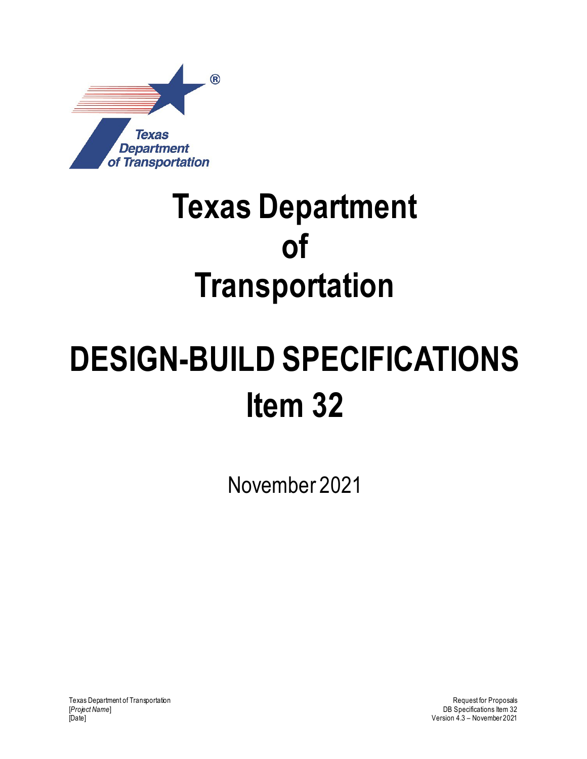

## **Texas Department of Transportation**

# **DESIGN-BUILD SPECIFICATIONS Item 32**

November 2021

Texas Department of Transportation and the control of Transportation Request for Proposals<br>Project Name] B Specifications Item 32 [*Project Name*] DB Specifications Item 32

Version 4.3 – November 2021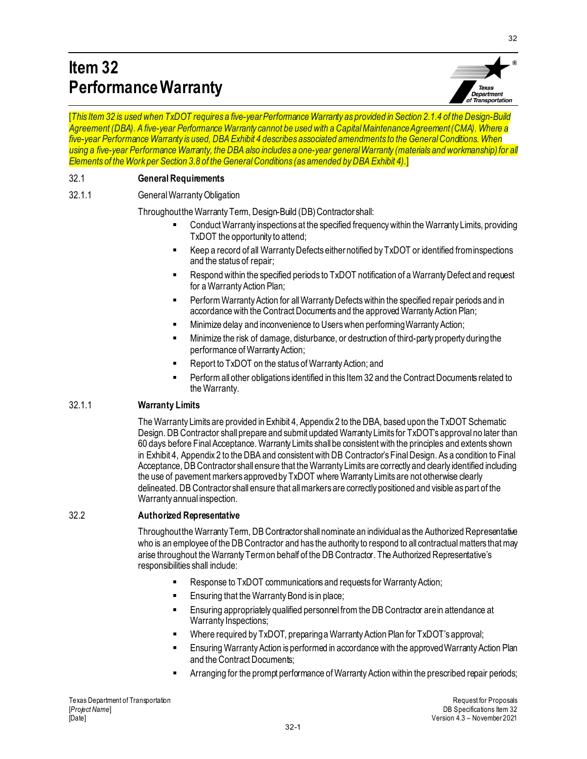### **Item 32 Performance Warranty**



32

[*This Item 32 is used when TxDOT requires a five-year Performance Warranty as provided in Section 2.1.4 of the Design-Build Agreement (DBA). A five-year Performance Warranty cannot be used with a Capital Maintenance Agreement (CMA). Where a five-year Performance Warranty is used, DBA Exhibit 4 describes associated amendments to the General Conditions. When using a five-year Performance Warranty, the DBA also includes a one-year general Warranty (materials and workmanship) for all Elements of the Work per Section 3.8 of the General Conditions (as amended byDBA Exhibit 4).*]

#### 32.1 **General Requirements**

#### 32.1.1 General Warranty Obligation

Throughout the Warranty Term, Design-Build (DB) Contractor shall:

- Conduct Warranty inspections at the specified frequency within the Warranty Limits, providing TxDOT the opportunity to attend;
- Keep a record of all Warranty Defects either notified by TxDOT or identified from inspections and the status of repair;
- Respond within the specified periods to TxDOT notification of a Warranty Defect and request for a Warranty Action Plan;
- Perform Warranty Action for all Warranty Defects within the specified repair periods and in accordance with the Contract Documents and the approved Warranty Action Plan;
- Minimize delay and inconvenience to Users when performing Warranty Action;
- Minimize the risk of damage, disturbance, or destruction of third-party property during the performance of Warranty Action;
- Report to TxDOT on the status of Warranty Action; and
- Perform all other obligations identified in this Item 32 and the Contract Documents related to the Warranty.

#### 32.1.1 **Warranty Limits**

The Warranty Limits are provided in Exhibit 4, Appendix 2 to the DBA, based upon the TxDOT Schematic Design. DB Contractor shall prepare and submit updated Warranty Limits for TxDOT's approval no later than 60 days before Final Acceptance. Warranty Limits shall be consistent with the principles and extents shown in Exhibit 4, Appendix 2 to the DBA and consistent with DB Contractor's Final Design. As a condition to Final Acceptance, DB Contractor shall ensure that the Warranty Limits are correctly and clearly identified including the use of pavement markers approved by TxDOT where Warranty Limits are not otherwise clearly delineated. DB Contractor shall ensure that all markers are correctly positioned and visible as part of the Warranty annual inspection.

#### 32.2 **Authorized Representative**

Throughout the Warranty Term, DB Contractor shall nominate an individual as the Authorized Representative who is an employee of the DB Contractor and has the authority to respond to all contractual matters that may arise throughout the Warranty Term on behalf of the DB Contractor. The Authorized Representative's responsibilities shall include:

- Response to TxDOT communications and requests for Warranty Action;
- Ensuring that the Warranty Bond is in place;
- Ensuring appropriately qualified personnel from the DB Contractor are in attendance at Warranty Inspections;
- Where required by TxDOT, preparing a Warranty Action Plan for TxDOT's approval;
- Ensuring Warranty Action is performed in accordance with the approved Warranty Action Plan and the Contract Documents;
- Arranging for the prompt performance of Warranty Action within the prescribed repair periods;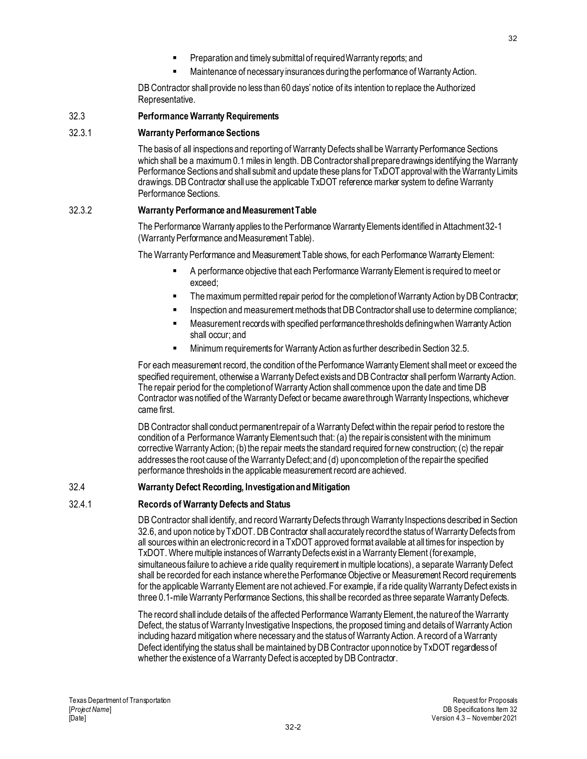- Preparation and timely submittal of required Warranty reports; and
- Maintenance of necessary insurances during the performance of Warranty Action.

DB Contractor shall provide no less than 60 days' notice of its intention to replace the Authorized Representative.

#### 32.3 **Performance Warranty Requirements**

#### 32.3.1 **Warranty Performance Sections**

The basis of all inspections and reporting of Warranty Defects shall be Warranty Performance Sections which shall be a maximum 0.1 miles in length. DB Contractor shall prepare drawings identifying the Warranty Performance Sections and shall submit and update these plans for TxDOT approvalwith the Warranty Limits drawings. DB Contractor shall use the applicable TxDOT reference marker system to define Warranty Performance Sections.

#### 32.3.2 **Warranty Performance and Measurement Table**

The Performance Warranty applies to the Performance Warranty Elements identified in Attachment 32-1 (Warranty Performance and Measurement Table).

The Warranty Performance and Measurement Table shows, for each Performance Warranty Element:

- A performance objective that each Performance Warranty Element is required to meet or exceed;
- The maximum permitted repair period for the completion of Warranty Action by DB Contractor;
- Inspection and measurement methods that DB Contractor shall use to determine compliance;
- Measurement records with specified performance thresholds defining when Warranty Action shall occur; and
- Minimum requirements for Warranty Action as further described in Section 32.5.

For each measurement record, the condition of the Performance Warranty Element shall meet or exceed the specified requirement, otherwise a Warranty Defect exists and DB Contractor shall perform Warranty Action. The repair period for the completion of Warranty Action shall commence upon the date and time DB Contractor was notified of the Warranty Defect or became aware through Warranty Inspections, whichever came first.

DB Contractor shall conduct permanent repair of a Warranty Defect within the repair period to restore the condition of a Performance Warranty Element such that: (a) the repair is consistent with the minimum corrective Warranty Action; (b) the repair meets the standard required for new construction; (c) the repair addresses the root cause of the Warranty Defect; and (d) upon completion of the repair the specified performance thresholds in the applicable measurement record are achieved.

#### 32.4 **Warranty Defect Recording, Investigationand Mitigation**

#### 32.4.1 **Records of Warranty Defects and Status**

DB Contractor shall identify, and record Warranty Defects through Warranty Inspections described in Section 32.6, and upon notice by TxDOT. DB Contractor shall accurately record the status of Warranty Defects from all sources within an electronic record in a TxDOT approved format available at all times for inspection by TxDOT. Where multiple instances of Warranty Defects exist in a Warranty Element (for example, simultaneous failure to achieve a ride quality requirement in multiple locations), a separate Warranty Defect shall be recorded for each instance where the Performance Objective or Measurement Record requirements for the applicable Warranty Element are not achieved. For example, if a ride quality Warranty Defect exists in three 0.1-mile Warranty Performance Sections, this shall be recorded as three separate Warranty Defects.

The record shall include details of the affected Performance Warranty Element, the nature of the Warranty Defect, the status of Warranty Investigative Inspections, the proposed timing and details of Warranty Action including hazard mitigation where necessary and the status of Warranty Action. A record of a Warranty Defect identifying the status shall be maintained by DB Contractor upon notice by TxDOT regardless of whether the existence of a Warranty Defect is accepted by DB Contractor.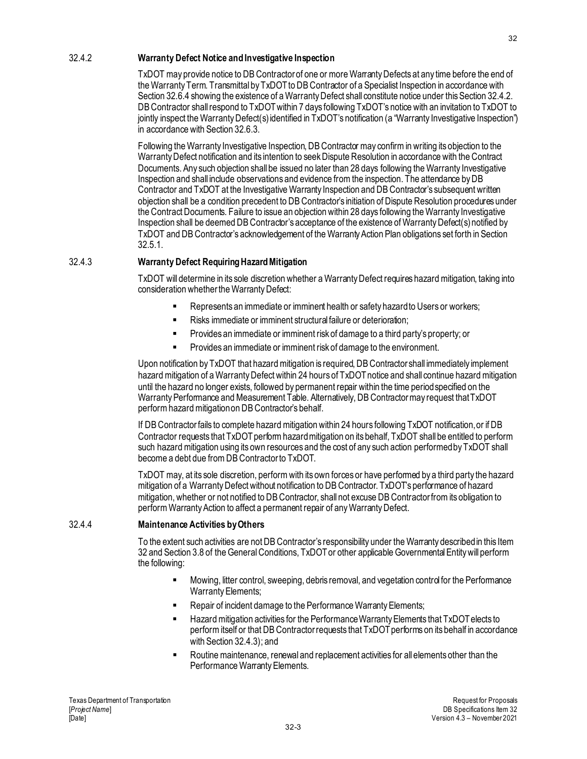#### 32.4.2 **Warranty Defect Notice and Investigative Inspection**

TxDOT may provide notice to DB Contractor of one or more Warranty Defects at any time before the end of the Warranty Term. Transmittal by TxDOT to DB Contractor of a Specialist Inspection in accordance with Section 32.6.4 showing the existence of a Warranty Defect shall constitute notice under this Section 32.4.2. DB Contractor shall respond to TxDOT within 7 days following TxDOT's notice with an invitation to TxDOT to jointly inspect the Warranty Defect(s) identified in TxDOT's notification (a "Warranty Investigative Inspection") in accordance with Section 32.6.3.

Following the Warranty Investigative Inspection, DB Contractor may confirm in writing its objection to the Warranty Defect notification and its intention to seek Dispute Resolution in accordance with the Contract Documents. Any such objection shall be issued no later than 28 days following the Warranty Investigative Inspection and shall include observations and evidence from the inspection. The attendance by DB Contractor and TxDOT at the Investigative Warranty Inspection and DB Contractor's subsequent written objection shall be a condition precedent to DB Contractor's initiation of Dispute Resolution procedures under the Contract Documents. Failure to issue an objection within 28 days following the Warranty Investigative Inspection shall be deemed DB Contractor's acceptance of the existence of Warranty Defect(s) notified by TxDOT and DB Contractor's acknowledgement of the Warranty Action Plan obligations set forth in Section 32.5.1.

#### 32.4.3 **Warranty Defect Requiring Hazard Mitigation**

TxDOT will determine in its sole discretion whether a Warranty Defect requires hazard mitigation, taking into consideration whether the Warranty Defect:

- Represents an immediate or imminent health or safety hazard to Users or workers;
- Risks immediate or imminent structural failure or deterioration;
- Provides an immediate or imminent risk of damage to a third party's property; or
- Provides an immediate or imminent risk of damage to the environment.

Upon notification by TxDOT that hazard mitigation is required, DB Contractor shall immediately implement hazard mitigation of a Warranty Defect within 24 hours of TxDOT notice and shall continue hazard mitigation until the hazard no longer exists, followed by permanent repair within the time period specified on the Warranty Performance and Measurement Table. Alternatively, DB Contractor may request that TxDOT perform hazard mitigation on DB Contractor's behalf.

If DB Contractor fails to complete hazard mitigation within 24 hours following TxDOT notification, or if DB Contractor requests that TxDOT perform hazard mitigation on its behalf, TxDOT shall be entitled to perform such hazard mitigation using its own resources and the cost of any such action performed by TxDOT shall become a debt due from DB Contractor to TxDOT.

TxDOT may, at its sole discretion, perform with its own forces or have performed by a third party the hazard mitigation of a Warranty Defect without notification to DB Contractor. TxDOT's performance of hazard mitigation, whether or not notified to DB Contractor, shall not excuse DB Contractor from its obligation to perform Warranty Action to affect a permanent repair of any Warranty Defect.

#### 32.4.4 **Maintenance Activities by Others**

To the extent such activities are not DB Contractor's responsibility under the Warranty described in this Item 32 and Section 3.8 of the General Conditions, TxDOT or other applicable Governmental Entity will perform the following:

- Mowing, litter control, sweeping, debris removal, and vegetation control for the Performance Warranty Elements;
- Repair of incident damage to the Performance Warranty Elements;
- Hazard mitigation activities for the Performance Warranty Elements that TxDOT elects to perform itself or that DB Contractor requests that TxDOT performs on its behalf in accordance with Section 32.4.3); and
- Routine maintenance, renewal and replacement activities for all elements other than the Performance Warranty Elements.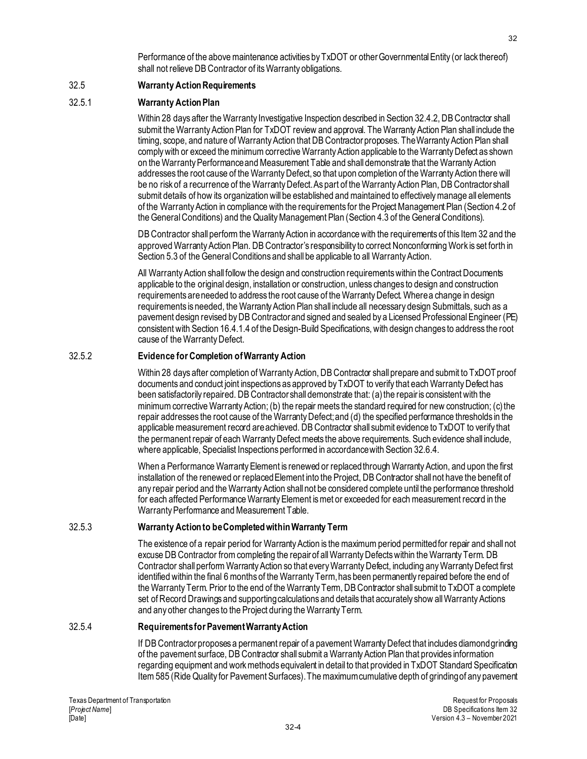Performance of the above maintenance activities by TxDOT or other Governmental Entity (or lack thereof) shall not relieve DB Contractor of its Warranty obligations.

#### 32.5 **Warranty Action Requirements**

#### 32.5.1 **Warranty Action Plan**

Within 28 days after the Warranty Investigative Inspection described in Section 32.4.2, DB Contractor shall submit the Warranty Action Plan for TxDOT review and approval. The Warranty Action Plan shall include the timing, scope, and nature of Warranty Action that DB Contractor proposes. The Warranty Action Plan shall comply with or exceed the minimum corrective Warranty Action applicable to the Warranty Defect as shown on the Warranty Performance and Measurement Table and shall demonstrate that the Warranty Action addresses the root cause of the Warranty Defect, so that upon completion of the Warranty Action there will be no risk of a recurrence of the Warranty Defect. As part of the Warranty Action Plan, DB Contractor shall submit details of how its organization will be established and maintained to effectively manage all elements of the Warranty Action in compliance with the requirements for the Project Management Plan (Section 4.2 of the General Conditions) and the Quality Management Plan (Section 4.3 of the General Conditions).

DB Contractor shall perform the Warranty Action in accordance with the requirements of this Item 32 and the approved Warranty Action Plan. DB Contractor's responsibility to correct Nonconforming Work is set forth in Section 5.3 of the General Conditions and shall be applicable to all Warranty Action.

All Warranty Action shall follow the design and construction requirements within the Contract Documents applicable to the original design, installation or construction, unless changes to design and construction requirements are needed to address the root cause of the Warranty Defect. Where a change in design requirements is needed, the Warranty Action Plan shall include all necessary design Submittals, such as a pavement design revised by DB Contractor and signed and sealed by a Licensed Professional Engineer (PE) consistent with Section 16.4.1.4 of the Design-Build Specifications, with design changes to address the root cause of the Warranty Defect.

#### 32.5.2 **Evidence for Completion of Warranty Action**

Within 28 days after completion of Warranty Action, DB Contractor shall prepare and submit to TxDOT proof documents and conduct joint inspections as approved by TxDOT to verify that each Warranty Defect has been satisfactorily repaired. DB Contractor shall demonstrate that: (a) the repair is consistent with the minimum corrective Warranty Action; (b) the repair meets the standard required for new construction; (c) the repair addresses the root cause of the Warranty Defect; and (d) the specified performance thresholds in the applicable measurement record are achieved. DB Contractor shall submit evidence to TxDOT to verify that the permanent repair of each Warranty Defect meets the above requirements. Such evidence shall include, where applicable, Specialist Inspections performed in accordance with Section 32.6.4.

When a Performance Warranty Element is renewed or replaced through Warranty Action, and upon the first installation of the renewed or replaced Element into the Project, DB Contractor shall not have the benefit of any repair period and the Warranty Action shall not be considered complete until the performance threshold for each affected Performance Warranty Element is met or exceeded for each measurement record in the Warranty Performance and Measurement Table.

#### 32.5.3 **Warranty Action to be Completed within Warranty Term**

The existence of a repair period for Warranty Action is the maximum period permitted for repair and shall not excuse DB Contractor from completing the repair of all Warranty Defects within the Warranty Term. DB Contractor shall perform Warranty Action so that every Warranty Defect, including any Warranty Defect first identified within the final 6 months of the Warranty Term, has been permanently repaired before the end of the Warranty Term. Prior to the end of the Warranty Term, DB Contractor shall submit to TxDOT a complete set of Record Drawings and supporting calculations and details that accurately show all Warranty Actions and any other changes to the Project during the Warranty Term.

#### 32.5.4 **Requirements for Pavement Warranty Action**

If DB Contractor proposes a permanent repair of a pavement Warranty Defect that includes diamond grinding of the pavement surface, DB Contractor shall submit a Warranty Action Plan that provides information regarding equipment and work methods equivalent in detail to that provided in TxDOT Standard Specification Item 585 (Ride Quality for Pavement Surfaces). The maximum cumulative depth of grinding of any pavement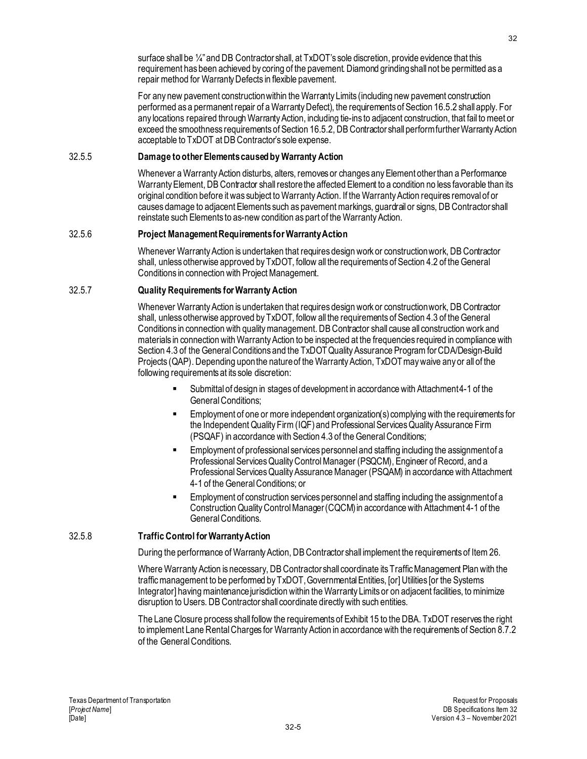surface shall be ¼" and DB Contractor shall, at TxDOT's sole discretion, provide evidence that this requirement has been achieved by coring of the pavement. Diamond grinding shall not be permitted as a repair method for Warranty Defects in flexible pavement.

For any new pavement construction within the Warranty Limits (including new pavement construction performed as a permanent repair of a Warranty Defect), the requirements of Section 16.5.2 shall apply. For any locations repaired through Warranty Action, including tie-ins to adjacent construction, that fail to meet or exceed the smoothness requirements of Section 16.5.2, DB Contractor shall perform further Warranty Action acceptable to TxDOT at DB Contractor's sole expense.

#### 32.5.5 **Damage to other Elements caused by Warranty Action**

Whenever a Warranty Action disturbs, alters, removes or changes any Element other than a Performance Warranty Element, DB Contractor shall restore the affected Element to a condition no less favorable than its original condition before it was subject to Warranty Action. If the Warranty Action requires removal of or causes damage to adjacent Elements such as pavement markings, guardrail or signs, DB Contractor shall reinstate such Elements to as-new condition as part of the Warranty Action.

#### 32.5.6 **Project Management Requirements for Warranty Action**

Whenever Warranty Action is undertaken that requires design work or construction work, DB Contractor shall, unless otherwise approved by TxDOT, follow all the requirements of Section 4.2 of the General Conditions in connection with Project Management.

#### 32.5.7 **Quality Requirements for Warranty Action**

Whenever Warranty Action is undertaken that requires design work or construction work, DB Contractor shall, unless otherwise approved by TxDOT, follow all the requirements of Section 4.3 of the General Conditions in connection with quality management. DB Contractor shall cause all construction work and materials in connection with Warranty Action to be inspected at the frequencies required in compliance with Section 4.3 of the General Conditions and the TxDOT Quality Assurance Program for CDA/Design-Build Projects (QAP). Depending upon the nature of the Warranty Action, TxDOT may waive any or all of the following requirements at its sole discretion:

- Submittal of design in stages of development in accordance with Attachment 4-1 of the General Conditions;
- Employment of one or more independent organization(s) complying with the requirements for the Independent Quality Firm (IQF) and Professional Services Quality Assurance Firm (PSQAF) in accordance with Section 4.3 of the General Conditions;
- Employment of professional services personnel and staffing including the assignment of a Professional Services Quality Control Manager (PSQCM), Engineer of Record, and a Professional Services Quality Assurance Manager (PSQAM) in accordance with Attachment 4-1 of the General Conditions; or
- Employment of construction services personnel and staffing including the assignment of a Construction Quality Control Manager (CQCM)in accordance with Attachment 4-1 of the General Conditions.

#### 32.5.8 **Traffic Control for Warranty Action**

During the performance of Warranty Action, DB Contractor shall implement the requirements of Item 26.

Where Warranty Action is necessary, DB Contractor shall coordinate its Traffic Management Plan with the traffic management to be performed by TxDOT, Governmental Entities, [or] Utilities [or the Systems Integrator] having maintenance jurisdiction within the Warranty Limits or on adjacent facilities, to minimize disruption to Users. DB Contractor shall coordinate directly with such entities.

The Lane Closure process shall follow the requirements of Exhibit 15 to the DBA. TxDOT reserves the right to implement Lane RentalCharges for Warranty Action in accordance with the requirements of Section 8.7.2 of the General Conditions.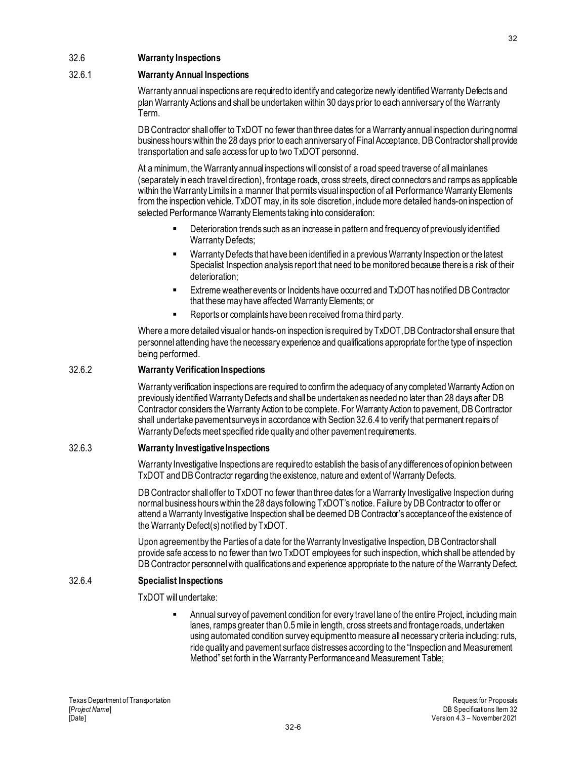#### 32.6 **Warranty Inspections**

#### 32.6.1 **Warranty Annual Inspections**

Warranty annual inspections are required to identify and categorize newly identified Warranty Defects and plan Warranty Actions and shall be undertaken within 30 days prior to each anniversary of the Warranty Term.

DB Contractor shall offer to TxDOT no fewer than three dates for a Warranty annual inspection during normal business hours within the 28 days prior to each anniversary of Final Acceptance. DB Contractor shall provide transportation and safe access for up to two TxDOT personnel.

At a minimum, the Warranty annual inspections will consist of a road speed traverse of all mainlanes (separately in each travel direction), frontage roads, cross streets, direct connectors and ramps as applicable within the Warranty Limits in a manner that permits visual inspection of all Performance Warranty Elements from the inspection vehicle. TxDOT may, in its sole discretion, include more detailed hands-on inspection of selected Performance Warranty Elements taking into consideration:

- **Deterioration trends such as an increase in pattern and frequency of previously identified** Warranty Defects;
- Warranty Defects that have been identified in a previous Warranty Inspection or the latest Specialist Inspection analysis report that need to be monitored because there is a risk of their deterioration;
- Extreme weather events or Incidents have occurred and TxDOT has notified DB Contractor that these may have affected Warranty Elements; or
- Reports or complaints have been received from a third party.

Where a more detailed visual or hands-on inspection is required by  $Tx$ DOT, DB Contractor shall ensure that personnel attending have the necessary experience and qualifications appropriate for the type of inspection being performed.

#### 32.6.2 **Warranty Verification Inspections**

Warranty verification inspections are required to confirm the adequacy of any completed Warranty Action on previously identified Warranty Defects and shall be undertaken as needed no later than 28 days after DB Contractor considers the Warranty Action to be complete. For Warranty Action to pavement, DB Contractor shall undertake pavement surveys in accordance with Section 32.6.4 to verify that permanent repairs of Warranty Defects meet specified ride quality and other pavement requirements.

#### 32.6.3 **Warranty Investigative Inspections**

Warranty Investigative Inspections are required to establish the basis of any differences of opinion between TxDOT and DB Contractor regarding the existence, nature and extent of Warranty Defects.

DB Contractor shall offer to TxDOT no fewer than three dates for a Warranty Investigative Inspection during normal business hours within the 28 days following TxDOT's notice. Failure by DB Contractor to offer or attend a Warranty Investigative Inspection shall be deemed DB Contractor's acceptance of the existence of the Warranty Defect(s) notified by TxDOT.

Upon agreement by the Parties of a date for the Warranty Investigative Inspection, DB Contractor shall provide safe access to no fewer than two TxDOT employees for such inspection, which shall be attended by DB Contractor personnel with qualifications and experience appropriate to the nature of the Warranty Defect.

#### 32.6.4 **Specialist Inspections**

TxDOT will undertake:

 Annual survey of pavement condition for every travel lane of the entire Project, including main lanes, ramps greater than 0.5 mile in length, cross streets and frontage roads, undertaken using automated condition survey equipment to measure all necessary criteria including: ruts, ride quality and pavement surface distresses according to the "Inspection and Measurement Method" set forth in the Warranty Performance and Measurement Table;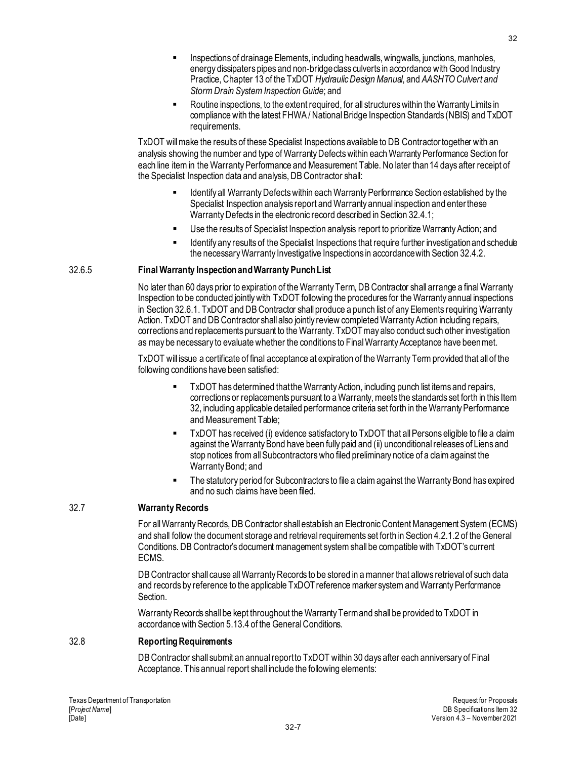- Inspections of drainage Elements, including headwalls, wingwalls, junctions, manholes, energy dissipaters pipes and non-bridge class culverts in accordance with Good Industry Practice, Chapter 13 of the TxDOT *Hydraulic Design Manual*, and *AASHTO Culvert and Storm Drain System Inspection Guide*; and
- Routine inspections, to the extent required, for all structures within the Warranty Limits in compliance with the latest FHWA / National Bridge Inspection Standards (NBIS) and TxDOT requirements.

TxDOT will make the results of these Specialist Inspections available to DB Contractor together with an analysis showing the number and type of Warranty Defects within each Warranty Performance Section for each line item in the Warranty Performance and Measurement Table. No later than 14 days after receipt of the Specialist Inspection data and analysis, DB Contractor shall:

- Identify all Warranty Defects within each Warranty Performance Section established by the Specialist Inspection analysis report and Warranty annual inspection and enter these Warranty Defects in the electronic record described in Section 32.4.1;
- Use the results of Specialist Inspection analysis report to prioritize Warranty Action; and
- Identify any results of the Specialist Inspections that require further investigation and schedule the necessary Warranty Investigative Inspections in accordance with Section 32.4.2.

#### 32.6.5 **Final Warranty Inspection and Warranty Punch List**

No later than 60 days prior to expiration of the Warranty Term, DB Contractor shall arrange a final Warranty Inspection to be conducted jointly with TxDOT following the procedures for the Warranty annual inspections in Section 32.6.1. TxDOT and DB Contractor shall produce a punch list of any Elements requiring Warranty Action. TxDOT and DB Contractor shall also jointly review completed Warranty Action including repairs, corrections and replacements pursuant to the Warranty. TxDOT may also conduct such other investigation as may be necessary to evaluate whether the conditions to Final Warranty Acceptance have been met.

TxDOT will issue a certificate of final acceptance at expiration of the Warranty Term provided that all of the following conditions have been satisfied:

- TxDOT has determined that the Warranty Action, including punch list items and repairs, corrections or replacements pursuant to a Warranty, meets the standards set forth in this Item 32, including applicable detailed performance criteria set forth in the Warranty Performance and Measurement Table;
- TxDOT has received (i) evidence satisfactory to TxDOT that all Persons eligible to file a claim against the Warranty Bond have been fully paid and (ii) unconditional releases of Liens and stop notices from all Subcontractors who filed preliminary notice of a claim against the Warranty Bond; and
- The statutory period for Subcontractors to file a claim against the Warranty Bond has expired and no such claims have been filed.

#### 32.7 **Warranty Records**

For all Warranty Records, DB Contractor shall establish an Electronic Content Management System (ECMS) and shall follow the document storage and retrieval requirements set forth in Section 4.2.1.2 of the General Conditions. DB Contractor's document management system shall be compatible with TxDOT's current ECMS.

DB Contractor shall cause all Warranty Records to be stored in a manner that allows retrieval of such data and records by reference to the applicable TxDOT reference marker system and Warranty Performance Section.

Warranty Records shall be kept throughout the Warranty Termand shall be provided to TxDOT in accordance with Section 5.13.4 of the General Conditions.

#### 32.8 **Reporting Requirements**

DB Contractor shall submit an annual report to TxDOT within 30 days after each anniversary of Final Acceptance. This annual report shall include the following elements: